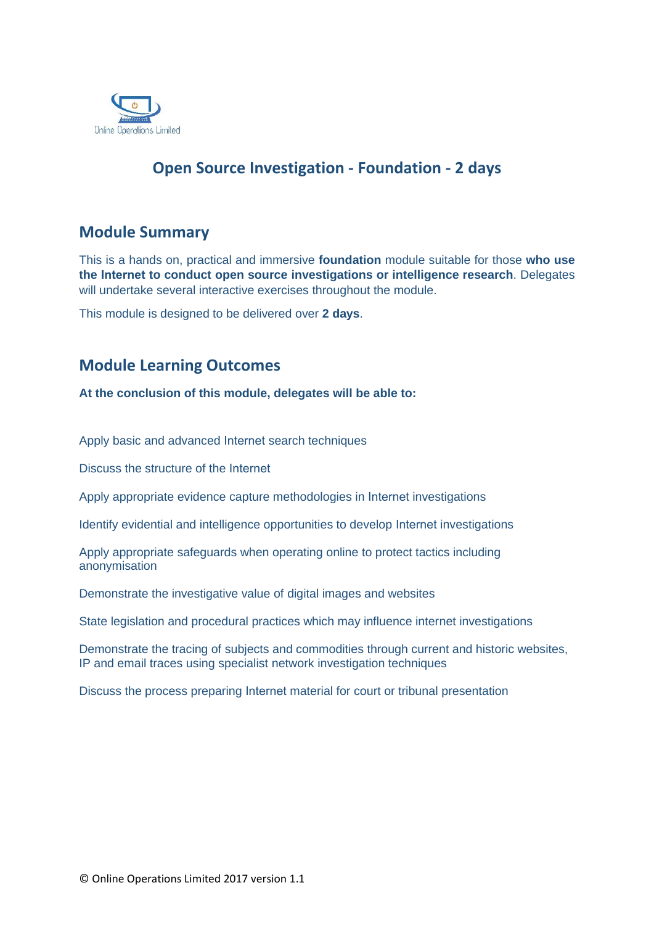

## **Open Source Investigation - Foundation - 2 days**

## **Module Summary**

This is a hands on, practical and immersive **foundation** module suitable for those **who use the Internet to conduct open source investigations or intelligence research**. Delegates will undertake several interactive exercises throughout the module.

This module is designed to be delivered over **2 days**.

## **Module Learning Outcomes**

**At the conclusion of this module, delegates will be able to:** 

Apply basic and advanced Internet search techniques

Discuss the structure of the Internet

Apply appropriate evidence capture methodologies in Internet investigations

Identify evidential and intelligence opportunities to develop Internet investigations

Apply appropriate safeguards when operating online to protect tactics including anonymisation

Demonstrate the investigative value of digital images and websites

State legislation and procedural practices which may influence internet investigations

Demonstrate the tracing of subjects and commodities through current and historic websites, IP and email traces using specialist network investigation techniques

Discuss the process preparing Internet material for court or tribunal presentation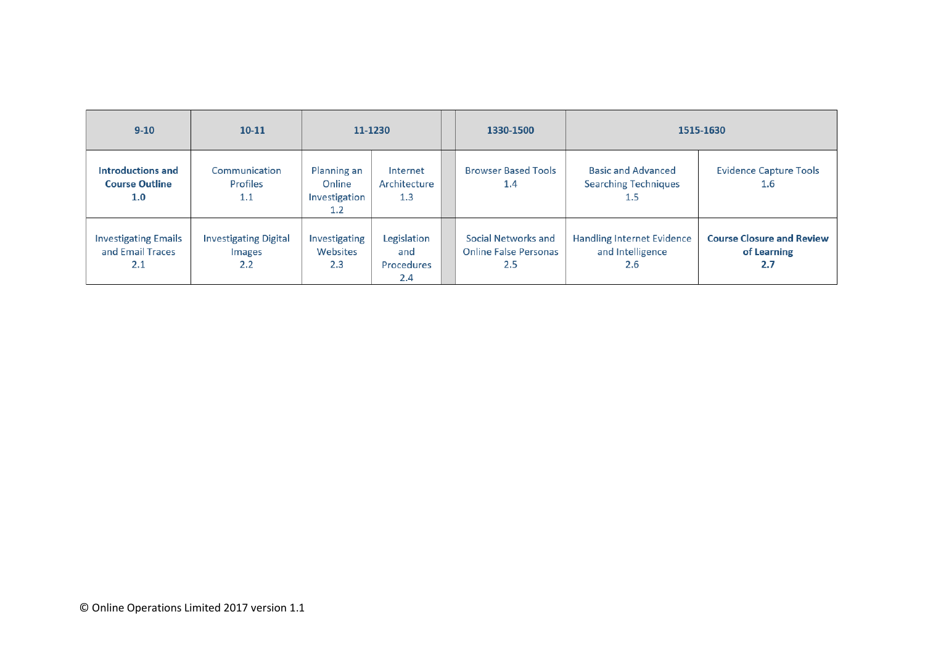| $9 - 10$                                               | $10 - 11$                                            | 11-1230                                       |                                                | 1330-1500                                                  | 1515-1630                                                           |                                                        |
|--------------------------------------------------------|------------------------------------------------------|-----------------------------------------------|------------------------------------------------|------------------------------------------------------------|---------------------------------------------------------------------|--------------------------------------------------------|
| Introductions and<br><b>Course Outline</b><br>1.0      | Communication<br>Profiles<br>1.1                     | Planning an<br>Online<br>Investigation<br>1.2 | Internet<br>Architecture<br>1.3                | <b>Browser Based Tools</b><br>1.4                          | <b>Basic and Advanced</b><br><b>Searching Techniques</b><br>$1.5\,$ | <b>Evidence Capture Tools</b><br>1.6                   |
| <b>Investigating Emails</b><br>and Email Traces<br>2.1 | <b>Investigating Digital</b><br><b>Images</b><br>2.2 | Investigating<br>Websites<br>2.3              | Legislation<br>and<br><b>Procedures</b><br>2.4 | Social Networks and<br><b>Online False Personas</b><br>2.5 | <b>Handling Internet Evidence</b><br>and Intelligence<br>2.6        | <b>Course Closure and Review</b><br>of Learning<br>2.7 |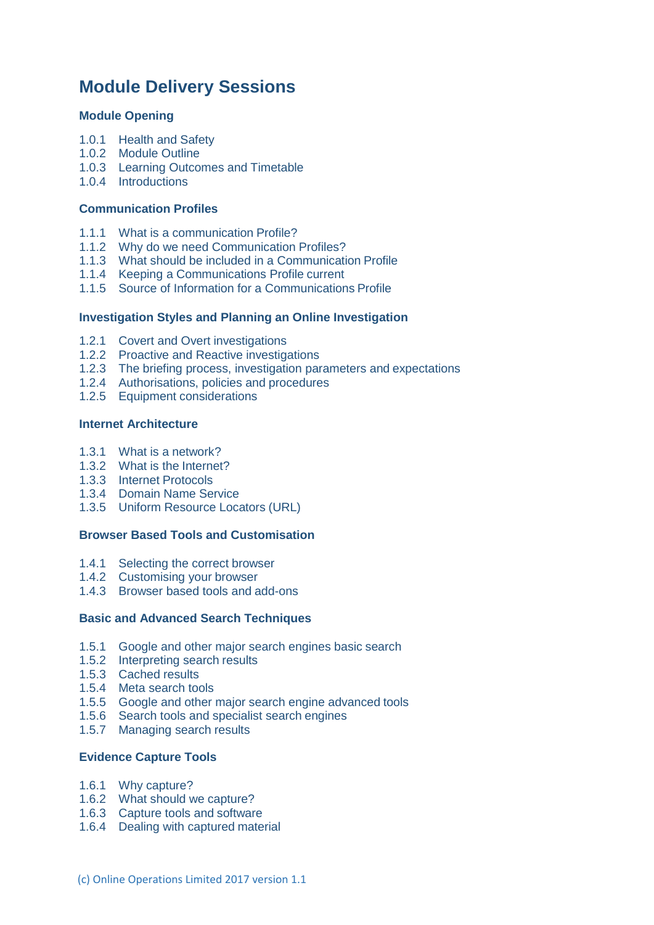# **Module Delivery Sessions**

## **Module Opening**

- 1.0.1 Health and Safety
- 1.0.2 Module Outline
- 1.0.3 Learning Outcomes and Timetable
- 1.0.4 Introductions

#### **Communication Profiles**

- 1.1.1 What is a communication Profile?
- 1.1.2 Why do we need Communication Profiles?
- 1.1.3 What should be included in a Communication Profile
- 1.1.4 Keeping a Communications Profile current
- 1.1.5 Source of Information for a Communications Profile

#### **Investigation Styles and Planning an Online Investigation**

- 1.2.1 Covert and Overt investigations
- 1.2.2 Proactive and Reactive investigations
- 1.2.3 The briefing process, investigation parameters and expectations
- 1.2.4 Authorisations, policies and procedures
- 1.2.5 Equipment considerations

#### **Internet Architecture**

- 1.3.1 What is a network?
- 1.3.2 What is the Internet?
- 1.3.3 Internet Protocols
- 1.3.4 Domain Name Service
- 1.3.5 Uniform Resource Locators (URL)

## **Browser Based Tools and Customisation**

- 1.4.1 Selecting the correct browser
- 1.4.2 Customising your browser
- 1.4.3 Browser based tools and add-ons

#### **Basic and Advanced Search Techniques**

- 1.5.1 Google and other major search engines basic search
- 1.5.2 Interpreting search results
- 1.5.3 Cached results
- 1.5.4 Meta search tools
- 1.5.5 Google and other major search engine advanced tools
- 1.5.6 Search tools and specialist search engines
- 1.5.7 Managing search results

### **Evidence Capture Tools**

- 1.6.1 Why capture?
- 1.6.2 What should we capture?
- 1.6.3 Capture tools and software
- 1.6.4 Dealing with captured material